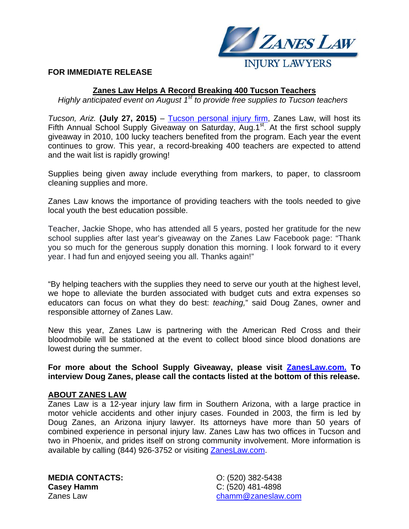

## **FOR IMMEDIATE RELEASE**

## **Zanes Law Helps A Record Breaking 400 Tucson Teachers**

*Highly anticipated event on August 1<sup>st</sup> to provide free supplies to Tucson teachers* 

*Tucson, Ariz.* **(July 27, 2015)** – Tucson personal injury firm, Zanes Law, will host its Fifth Annual School Supply Giveaway on Saturday, Aug.1<sup>st</sup>. At the first school supply giveaway in 2010, 100 lucky teachers benefited from the program. Each year the event continues to grow. This year, a record-breaking 400 teachers are expected to attend and the wait list is rapidly growing!

Supplies being given away include everything from markers, to paper, to classroom cleaning supplies and more.

Zanes Law knows the importance of providing teachers with the tools needed to give local youth the best education possible.

Teacher, Jackie Shope, who has attended all 5 years, posted her gratitude for the new school supplies after last year's giveaway on the Zanes Law Facebook page: "Thank you so much for the generous supply donation this morning. I look forward to it every year. I had fun and enjoyed seeing you all. Thanks again!"

"By helping teachers with the supplies they need to serve our youth at the highest level, we hope to alleviate the burden associated with budget cuts and extra expenses so educators can focus on what they do best: *teaching,*" said Doug Zanes, owner and responsible attorney of Zanes Law.

New this year, Zanes Law is partnering with the American Red Cross and their bloodmobile will be stationed at the event to collect blood since blood donations are lowest during the summer.

**For more about the School Supply Giveaway, please visit ZanesLaw.com. To interview Doug Zanes, please call the contacts listed at the bottom of this release.** 

## **ABOUT ZANES LAW**

Zanes Law is a 12-year injury law firm in Southern Arizona, with a large practice in motor vehicle accidents and other injury cases. Founded in 2003, the firm is led by Doug Zanes, an Arizona injury lawyer. Its attorneys have more than 50 years of combined experience in personal injury law. Zanes Law has two offices in Tucson and two in Phoenix, and prides itself on strong community involvement. More information is available by calling (844) 926-3752 or visiting ZanesLaw.com.

**MEDIA CONTACTS: Casey Hamm**  Zanes Law

O: (520) 382-5438 C: (520) 481-4898 chamm@zaneslaw.com